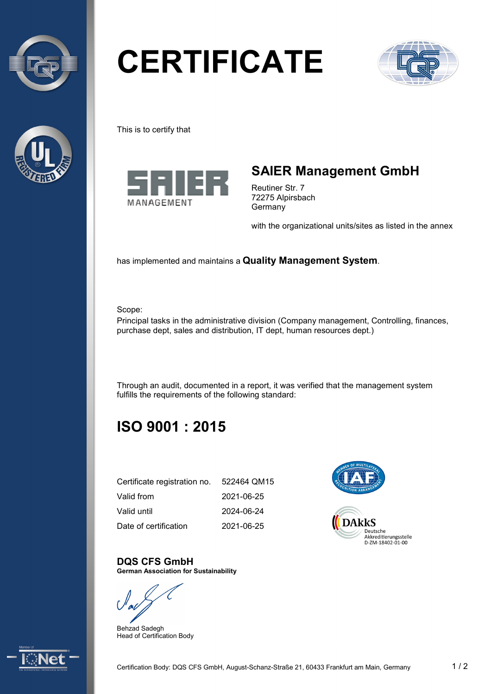



# **CERTIFICATE**



This is to certify that



## **SAIER Management GmbH**

Reutiner Str. 7 72275 Alpirsbach Germany

with the organizational units/sites as listed in the annex

has implemented and maintains a **Quality Management System**.

Scope:

Principal tasks in the administrative division (Company management, Controlling, finances, purchase dept, sales and distribution, IT dept, human resources dept.)

Through an audit, documented in a report, it was verified that the management system fulfills the requirements of the following standard:

# **ISO 9001 : 2015**

| Certificate registration no. | 522464 QM15 |
|------------------------------|-------------|
| Valid from                   | 2021-06-25  |
| Valid until                  | 2024-06-24  |
| Date of certification        | 2021-06-25  |



#### **DQS CFS GmbH German Association for Sustainability**

Behzad Sadegh Head of Certification Body